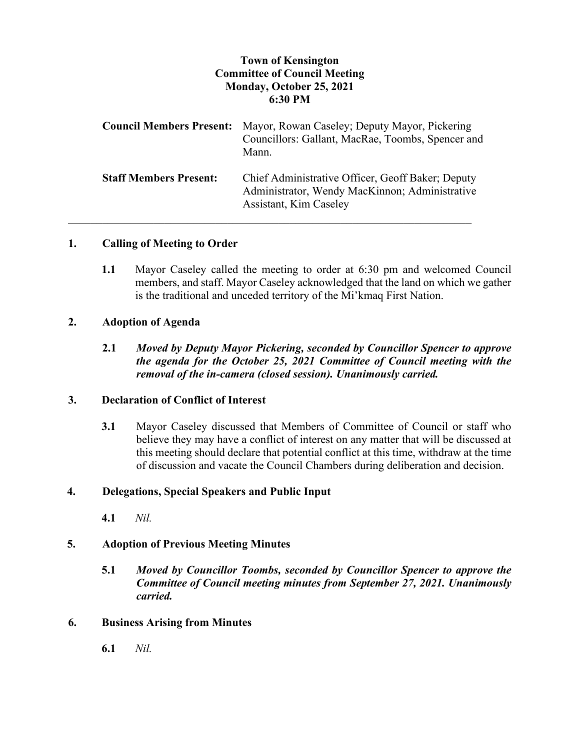# **Town of Kensington Committee of Council Meeting Monday, October 25, 2021 6:30 PM**

| <b>Council Members Present:</b> | Mayor, Rowan Caseley; Deputy Mayor, Pickering<br>Councillors: Gallant, MacRae, Toombs, Spencer and<br>Mann.                   |
|---------------------------------|-------------------------------------------------------------------------------------------------------------------------------|
| <b>Staff Members Present:</b>   | Chief Administrative Officer, Geoff Baker; Deputy<br>Administrator, Wendy MacKinnon; Administrative<br>Assistant, Kim Caseley |

### **1. Calling of Meeting to Order**

**1.1** Mayor Caseley called the meeting to order at 6:30 pm and welcomed Council members, and staff. Mayor Caseley acknowledged that the land on which we gather is the traditional and unceded territory of the Mi'kmaq First Nation.

## **2. Adoption of Agenda**

**2.1** *Moved by Deputy Mayor Pickering, seconded by Councillor Spencer to approve the agenda for the October 25, 2021 Committee of Council meeting with the removal of the in-camera (closed session). Unanimously carried.*

## **3. Declaration of Conflict of Interest**

**3.1** Mayor Caseley discussed that Members of Committee of Council or staff who believe they may have a conflict of interest on any matter that will be discussed at this meeting should declare that potential conflict at this time, withdraw at the time of discussion and vacate the Council Chambers during deliberation and decision.

### **4. Delegations, Special Speakers and Public Input**

**4.1** *Nil.*

## **5. Adoption of Previous Meeting Minutes**

**5.1** *Moved by Councillor Toombs, seconded by Councillor Spencer to approve the Committee of Council meeting minutes from September 27, 2021. Unanimously carried.*

### **6. Business Arising from Minutes**

**6.1** *Nil.*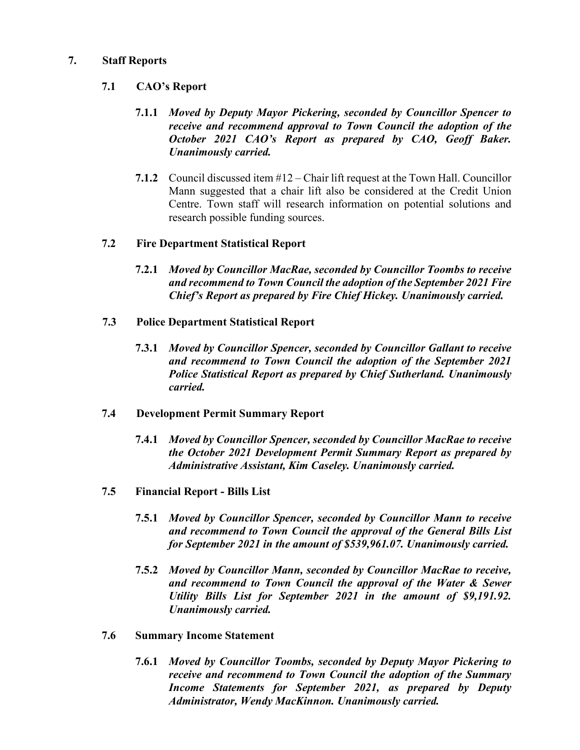## **7. Staff Reports**

## **7.1 CAO's Report**

- **7.1.1** *Moved by Deputy Mayor Pickering, seconded by Councillor Spencer to receive and recommend approval to Town Council the adoption of the October 2021 CAO's Report as prepared by CAO, Geoff Baker. Unanimously carried.*
- **7.1.2** Council discussed item #12 Chair lift request at the Town Hall. Councillor Mann suggested that a chair lift also be considered at the Credit Union Centre. Town staff will research information on potential solutions and research possible funding sources.

## **7.2 Fire Department Statistical Report**

- **7.2.1** *Moved by Councillor MacRae, seconded by Councillor Toombs to receive and recommend to Town Council the adoption of the September 2021 Fire Chief's Report as prepared by Fire Chief Hickey. Unanimously carried.*
- **7.3 Police Department Statistical Report**
	- **7.3.1** *Moved by Councillor Spencer, seconded by Councillor Gallant to receive and recommend to Town Council the adoption of the September 2021 Police Statistical Report as prepared by Chief Sutherland. Unanimously carried.*

### **7.4 Development Permit Summary Report**

- **7.4.1** *Moved by Councillor Spencer, seconded by Councillor MacRae to receive the October 2021 Development Permit Summary Report as prepared by Administrative Assistant, Kim Caseley. Unanimously carried.*
- **7.5 Financial Report - Bills List**
	- **7.5.1** *Moved by Councillor Spencer, seconded by Councillor Mann to receive and recommend to Town Council the approval of the General Bills List for September 2021 in the amount of \$539,961.07. Unanimously carried.*
	- **7.5.2** *Moved by Councillor Mann, seconded by Councillor MacRae to receive, and recommend to Town Council the approval of the Water & Sewer Utility Bills List for September 2021 in the amount of \$9,191.92. Unanimously carried.*

## **7.6 Summary Income Statement**

**7.6.1** *Moved by Councillor Toombs, seconded by Deputy Mayor Pickering to receive and recommend to Town Council the adoption of the Summary Income Statements for September 2021, as prepared by Deputy Administrator, Wendy MacKinnon. Unanimously carried.*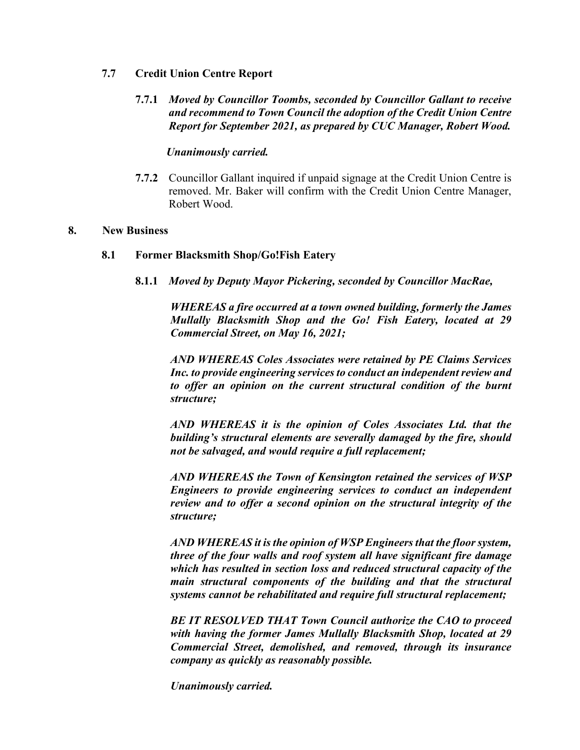### **7.7 Credit Union Centre Report**

**7.7.1** *Moved by Councillor Toombs, seconded by Councillor Gallant to receive and recommend to Town Council the adoption of the Credit Union Centre Report for September 2021, as prepared by CUC Manager, Robert Wood.*

## *Unanimously carried.*

**7.7.2** Councillor Gallant inquired if unpaid signage at the Credit Union Centre is removed. Mr. Baker will confirm with the Credit Union Centre Manager, Robert Wood.

#### **8. New Business**

### **8.1 Former Blacksmith Shop/Go!Fish Eatery**

**8.1.1** *Moved by Deputy Mayor Pickering, seconded by Councillor MacRae,*

*WHEREAS a fire occurred at a town owned building, formerly the James Mullally Blacksmith Shop and the Go! Fish Eatery, located at 29 Commercial Street, on May 16, 2021;*

*AND WHEREAS Coles Associates were retained by PE Claims Services Inc. to provide engineering services to conduct an independent review and to offer an opinion on the current structural condition of the burnt structure;*

*AND WHEREAS it is the opinion of Coles Associates Ltd. that the building's structural elements are severally damaged by the fire, should not be salvaged, and would require a full replacement;*

*AND WHEREAS the Town of Kensington retained the services of WSP Engineers to provide engineering services to conduct an independent review and to offer a second opinion on the structural integrity of the structure;*

*AND WHEREAS it is the opinion of WSP Engineers that the floor system, three of the four walls and roof system all have significant fire damage which has resulted in section loss and reduced structural capacity of the main structural components of the building and that the structural systems cannot be rehabilitated and require full structural replacement;*

*BE IT RESOLVED THAT Town Council authorize the CAO to proceed with having the former James Mullally Blacksmith Shop, located at 29 Commercial Street, demolished, and removed, through its insurance company as quickly as reasonably possible.*

*Unanimously carried.*